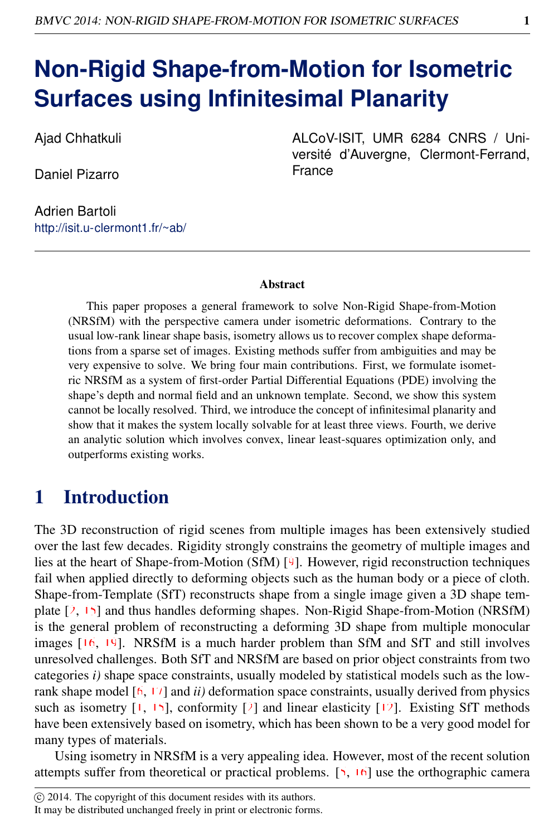# **Non-Rigid Shape-from-Motion for Isometric Surfaces using Infinitesimal Planarity**

Ajad Chhatkuli

Daniel Pizarro

Adrien Bartoli http://isit.u-clermont1.fr/~ab/ ALCoV-ISIT, UMR 6284 CNRS / Université d'Auvergne, Clermont-Ferrand, France

#### Abstract

This paper proposes a general framework to solve Non-Rigid Shape-from-Motion (NRSfM) with the perspective camera under isometric deformations. Contrary to the usual low-rank linear shape basis, isometry allows us to recover complex shape deformations from a sparse set of images. Existing methods suffer from ambiguities and may be very expensive to solve. We bring four main contributions. First, we formulate isometric NRSfM as a system of first-order Partial Differential Equations (PDE) involving the shape's depth and normal field and an unknown template. Second, we show this system cannot be locally resolved. Third, we introduce the concept of infinitesimal planarity and show that it makes the system locally solvable for at least three views. Fourth, we derive an analytic solution which involves convex, linear least-squares optimization only, and outperforms existing works.

## 1 Introduction

The 3D reconstruction of rigid scenes from multiple images has been extensively studied over the last few decades. Rigidity strongly constrains the geometry of multiple images and lies at the heart of Shape-from-Motion (SfM) [9]. However, rigid reconstruction techniques fail when applied directly to deforming objects such as the human body or a piece of cloth. Shape-from-Template (SfT) reconstructs shape from a single image given a 3D shape template  $[2, 15]$  and thus handles deforming shapes. Non-Rigid Shape-from-Motion (NRSfM) is the general problem of reconstructing a deforming 3D shape from multiple monocular images [16, 19]. NRSfM is a much harder problem than SfM and SfT and still involves unresolved challenges. Both SfT and NRSfM are based on prior object constraints from two categories *i)* shape space constraints, usually modeled by statistical models such as the lowrank shape model [6, 17] and *ii)* deformation space constraints, usually derived from physics such as isometry  $[1, 15]$ , conformity  $[2]$  and linear elasticity  $[12]$ . Existing SfT methods have been extensively based on isometry, which has been shown to be a very good model for many types of materials.

Using isometry in NRSfM is a very appealing idea. However, most of the recent solution attempts suffer from theoretical or practical problems. [5, 16] use the orthographic camera

It may be distributed unchanged freely in print or electronic forms.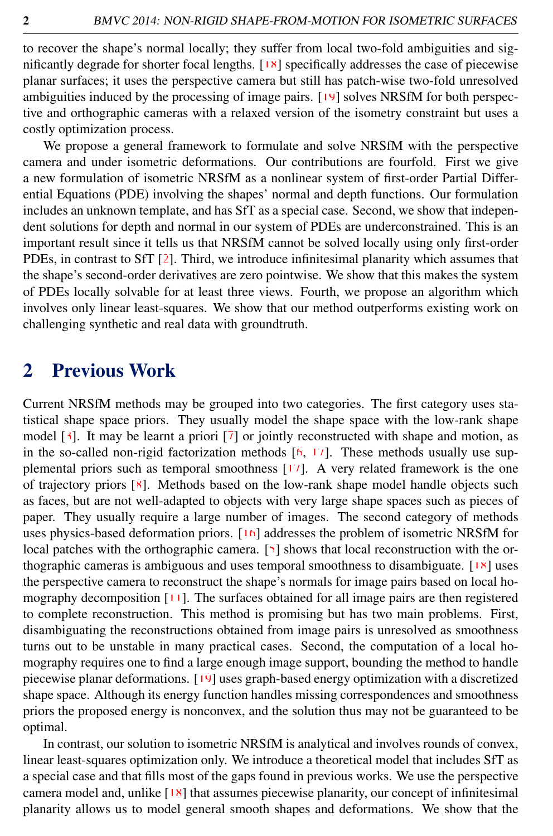to recover the shape's normal locally; they suffer from local two-fold ambiguities and significantly degrade for shorter focal lengths. [<sup>18]</sup> specifically addresses the case of piecewise planar surfaces; it uses the perspective camera but still has patch-wise two-fold unresolved ambiguities induced by the processing of image pairs. [19] solves NRSfM for both perspective and orthographic cameras with a relaxed version of the isometry constraint but uses a costly optimization process.

We propose a general framework to formulate and solve NRSfM with the perspective camera and under isometric deformations. Our contributions are fourfold. First we give a new formulation of isometric NRSfM as a nonlinear system of first-order Partial Differential Equations (PDE) involving the shapes' normal and depth functions. Our formulation includes an unknown template, and has SfT as a special case. Second, we show that independent solutions for depth and normal in our system of PDEs are underconstrained. This is an important result since it tells us that NRSfM cannot be solved locally using only first-order PDEs, in contrast to SfT [2]. Third, we introduce infinitesimal planarity which assumes that the shape's second-order derivatives are zero pointwise. We show that this makes the system of PDEs locally solvable for at least three views. Fourth, we propose an algorithm which involves only linear least-squares. We show that our method outperforms existing work on challenging synthetic and real data with groundtruth.

## 2 Previous Work

Current NRSfM methods may be grouped into two categories. The first category uses statistical shape space priors. They usually model the shape space with the low-rank shape model  $\lceil 3 \rceil$ . It may be learnt a priori  $\lceil 7 \rceil$  or jointly reconstructed with shape and motion, as in the so-called non-rigid factorization methods  $[6, 17]$ . These methods usually use supplemental priors such as temporal smoothness [17]. A very related framework is the one of trajectory priors [8]. Methods based on the low-rank shape model handle objects such as faces, but are not well-adapted to objects with very large shape spaces such as pieces of paper. They usually require a large number of images. The second category of methods uses physics-based deformation priors. [16] addresses the problem of isometric NRSfM for local patches with the orthographic camera. [5] shows that local reconstruction with the orthographic cameras is ambiguous and uses temporal smoothness to disambiguate. [18] uses the perspective camera to reconstruct the shape's normals for image pairs based on local homography decomposition [11]. The surfaces obtained for all image pairs are then registered to complete reconstruction. This method is promising but has two main problems. First, disambiguating the reconstructions obtained from image pairs is unresolved as smoothness turns out to be unstable in many practical cases. Second, the computation of a local homography requires one to find a large enough image support, bounding the method to handle piecewise planar deformations. [19] uses graph-based energy optimization with a discretized shape space. Although its energy function handles missing correspondences and smoothness priors the proposed energy is nonconvex, and the solution thus may not be guaranteed to be optimal.

In contrast, our solution to isometric NRSfM is analytical and involves rounds of convex, linear least-squares optimization only. We introduce a theoretical model that includes SfT as a special case and that fills most of the gaps found in previous works. We use the perspective camera model and, unlike [18] that assumes piecewise planarity, our concept of infinitesimal planarity allows us to model general smooth shapes and deformations. We show that the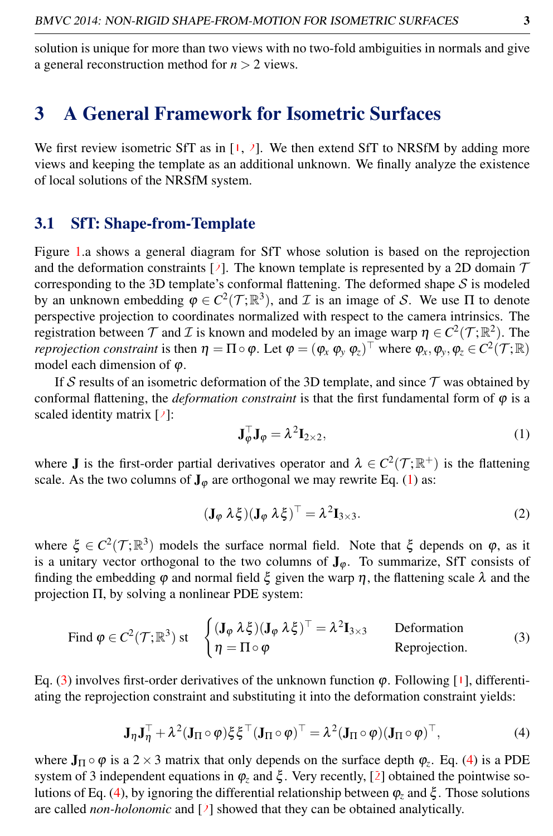solution is unique for more than two views with no two-fold ambiguities in normals and give a general reconstruction method for *n* > 2 views.

## 3 A General Framework for Isometric Surfaces

We first review isometric SfT as in  $\left[1, 2\right]$ . We then extend SfT to NRSfM by adding more views and keeping the template as an additional unknown. We finally analyze the existence of local solutions of the NRSfM system.

### 3.1 SfT: Shape-from-Template

Figure 1.a shows a general diagram for SfT whose solution is based on the reprojection and the deformation constraints [2]. The known template is represented by a 2D domain  $\mathcal T$ corresponding to the 3D template's conformal flattening. The deformed shape  $S$  is modeled by an unknown embedding  $\varphi \in C^2(\mathcal{T}; \mathbb{R}^3)$ , and *I* is an image of *S*. We use  $\Pi$  to denote perspective projection to coordinates normalized with respect to the camera intrinsics. The registration between  $\mathcal T$  and  $\mathcal I$  is known and modeled by an image warp  $\eta \in C^2(\mathcal T;\mathbb R^2)$ . The *reprojection constraint* is then  $\eta = \Pi \circ \varphi$ . Let  $\varphi = (\varphi_x \varphi_y \varphi_z)^\top$  where  $\varphi_x, \varphi_y, \varphi_z \in C^2(\mathcal{T}; \mathbb{R})$ model each dimension of  $\varphi$ .

If S results of an isometric deformation of the 3D template, and since  $\mathcal T$  was obtained by conformal flattening, the *deformation constraint* is that the first fundamental form of  $\varphi$  is a scaled identity matrix [2]:

<span id="page-2-0"></span>
$$
\mathbf{J}_{\varphi}^{\top} \mathbf{J}_{\varphi} = \lambda^2 \mathbf{I}_{2 \times 2},\tag{1}
$$

where **J** is the first-order partial derivatives operator and  $\lambda \in C^2(\mathcal{T}; \mathbb{R}^+)$  is the flattening scale. As the two columns of  $J_{\varphi}$  are orthogonal we may rewrite Eq. [\(1\)](#page-2-0) as:

$$
(\mathbf{J}_{\varphi} \lambda \xi)(\mathbf{J}_{\varphi} \lambda \xi)^{\top} = \lambda^{2} \mathbf{I}_{3 \times 3}.
$$
 (2)

where  $\xi \in C^2(\mathcal{T}; \mathbb{R}^3)$  models the surface normal field. Note that  $\xi$  depends on  $\varphi$ , as it is a unitary vector orthogonal to the two columns of  $J_{\varphi}$ . To summarize, SfT consists of finding the embedding  $\varphi$  and normal field  $\xi$  given the warp  $\eta$ , the flattening scale  $\lambda$  and the projection Π, by solving a nonlinear PDE system:

<span id="page-2-1"></span>Find 
$$
\varphi \in C^2(\mathcal{T}; \mathbb{R}^3)
$$
 st  $\begin{cases} (\mathbf{J}_{\varphi} \lambda \xi)(\mathbf{J}_{\varphi} \lambda \xi)^{\top} = \lambda^2 \mathbf{I}_{3 \times 3} & \text{Deformation} \\ \eta = \Pi \circ \varphi & \text{Reprojection.} \end{cases}$  (3)

<span id="page-2-2"></span>Eq. [\(3\)](#page-2-1) involves first-order derivatives of the unknown function  $\varphi$ . Following [1], differentiating the reprojection constraint and substituting it into the deformation constraint yields:

$$
\mathbf{J}_{\eta}\mathbf{J}_{\eta}^{\top} + \lambda^{2}(\mathbf{J}_{\Pi}\circ\varphi)\xi\xi^{\top}(\mathbf{J}_{\Pi}\circ\varphi)^{\top} = \lambda^{2}(\mathbf{J}_{\Pi}\circ\varphi)(\mathbf{J}_{\Pi}\circ\varphi)^{\top},
$$
\n(4)

where  $J_{\Pi} \circ \varphi$  is a 2  $\times$  3 matrix that only depends on the surface depth  $\varphi_z$ . Eq. [\(4\)](#page-2-2) is a PDE system of 3 independent equations in  $\varphi_z$  and  $\xi$ . Very recently, [2] obtained the pointwise solutions of Eq. [\(4\)](#page-2-2), by ignoring the differential relationship between ϕ*<sup>z</sup>* and ξ . Those solutions are called *non-holonomic* and [2] showed that they can be obtained analytically.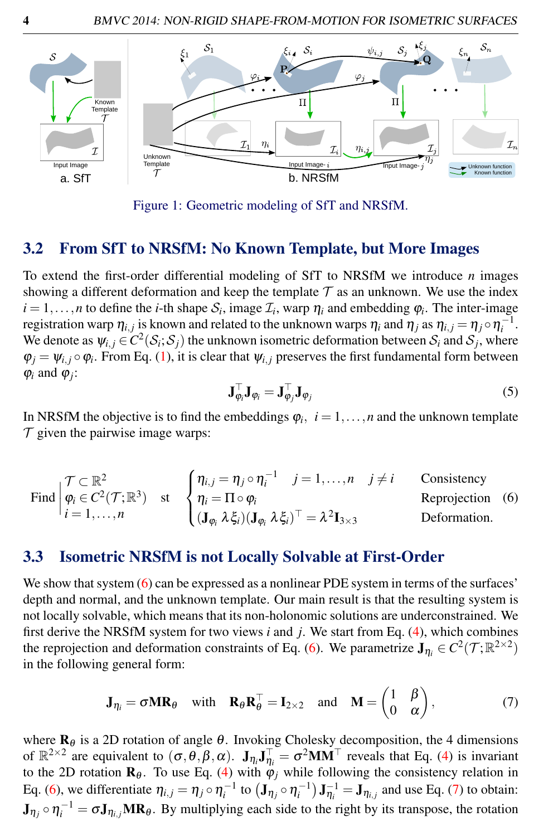

Figure 1: Geometric modeling of SfT and NRSfM.

#### $3.2$ From SfT to NRSfM: No Known Template, but More Images

To extend the first-order differential modeling of SfT to NRSfM we introduce  $n$  images showing a different deformation and keep the template  $\mathcal T$  as an unknown. We use the index  $i = 1, \ldots, n$  to define the *i*-th shape  $S_i$ , image  $\mathcal{I}_i$ , warp  $\eta_i$  and embedding  $\varphi_i$ . The inter-image registration warp  $\eta_{i,j}$  is known and related to the unknown warps  $\eta_i$  and  $\eta_j$  as  $\eta_{i,j} = \eta_j \circ \eta_j^{-1}$ . We denote as  $\psi_{i,j} \in C^2(\mathcal{S}_i; \mathcal{S}_j)$  the unknown isometric deformation between  $\mathcal{S}_i$  and  $\mathcal{S}_j$ , where  $\varphi_i = \psi_{i,j} \circ \varphi_i$ . From Eq. (1), it is clear that  $\psi_{i,j}$  preserves the first fundamental form between  $\varphi_i$  and  $\varphi_j$ :

$$
\mathbf{J}_{\boldsymbol{\varphi}_i}^{\perp} \mathbf{J}_{\boldsymbol{\varphi}_i} = \mathbf{J}_{\boldsymbol{\varphi}_j}^{\perp} \mathbf{J}_{\boldsymbol{\varphi}_j} \tag{5}
$$

In NRSfM the objective is to find the embeddings  $\varphi_i$ ,  $i = 1, \dots, n$  and the unknown template  $\mathcal T$  given the pairwise image warps:

Find 
$$
\begin{cases} \mathcal{T} \subset \mathbb{R}^2 \\ \varphi_i \in C^2(\mathcal{T}; \mathbb{R}^3) \\ i = 1, ..., n \end{cases}
$$
st 
$$
\begin{cases} \eta_{i,j} = \eta_j \circ \eta_i^{-1} & j = 1, ..., n \quad j \neq i \\ \eta_i = \Pi \circ \varphi_i \\ (\mathbf{J}_{\varphi_i} \lambda \xi_i)(\mathbf{J}_{\varphi_i} \lambda \xi_i)^{\top} = \lambda^2 \mathbf{I}_{3 \times 3} \end{cases}
$$
 Proposition (6)

#### **Isometric NRSfM is not Locally Solvable at First-Order**  $3.3$

We show that system  $(6)$  can be expressed as a nonlinear PDE system in terms of the surfaces' depth and normal, and the unknown template. Our main result is that the resulting system is not locally solvable, which means that its non-holonomic solutions are underconstrained. We first derive the NRSfM system for two views  $i$  and  $j$ . We start from Eq. (4), which combines the reprojection and deformation constraints of Eq. (6). We parametrize  $J_{\eta_i} \in C^2(\mathcal{T}; \mathbb{R}^{2 \times 2})$ in the following general form:

$$
\mathbf{J}_{\eta_i} = \sigma \mathbf{M} \mathbf{R}_{\theta} \quad \text{with} \quad \mathbf{R}_{\theta} \mathbf{R}_{\theta}^{\top} = \mathbf{I}_{2 \times 2} \quad \text{and} \quad \mathbf{M} = \begin{pmatrix} 1 & \beta \\ 0 & \alpha \end{pmatrix}, \tag{7}
$$

where  $\mathbf{R}_{\theta}$  is a 2D rotation of angle  $\theta$ . Invoking Cholesky decomposition, the 4 dimensions of  $\mathbb{R}^{2\times 2}$  are equivalent to  $(\sigma, \theta, \beta, \alpha)$ .  $\mathbf{J}_{\eta_i} \mathbf{J}_{\eta_i}^{\top} = \sigma^2 \mathbf{M} \mathbf{M}^{\top}$  reveals that Eq. (4) is invariant to the 2D rotation  $\mathbf{R}_{\theta}$ . To use Eq. (4) with  $\varphi_j$  while following the consist Eq. (6), we differentiate  $\eta_{i,j} = \eta_j \circ \eta_i^{-1}$  to  $(\mathbf{J}_{\eta_j} \circ \eta_i^{-1}) \mathbf{J}_{\eta_i}^{-1} = \mathbf{J}_{\eta_{i,j}}$  and use Eq. (7) to obtain:  $J_n \circ \eta_i^{-1} = \sigma J_{n_i}$ , MR<sub> $\theta$ </sub>. By multiplying each side to the right by its transpose, the rotation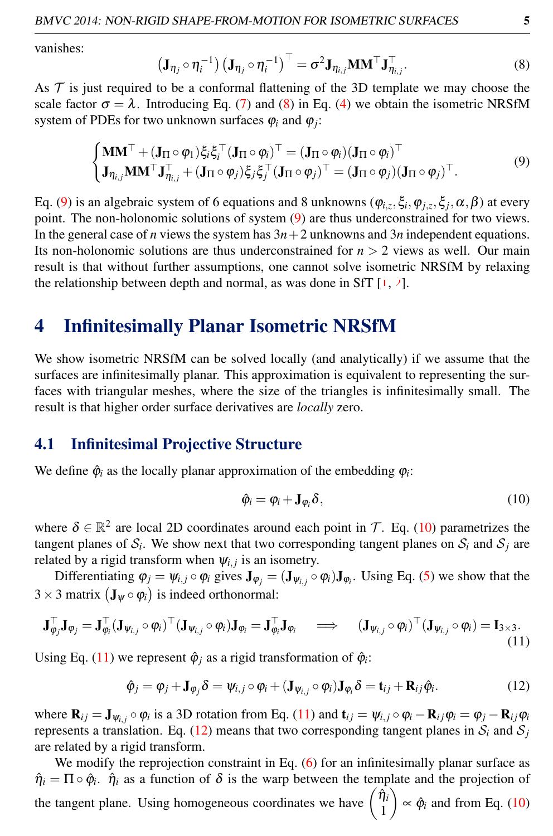<span id="page-4-0"></span>vanishes:

<span id="page-4-1"></span>
$$
\left(\mathbf{J}_{\eta_j} \circ \eta_i^{-1}\right) \left(\mathbf{J}_{\eta_j} \circ \eta_i^{-1}\right)^{\top} = \sigma^2 \mathbf{J}_{\eta_{i,j}} \mathbf{M} \mathbf{M}^{\top} \mathbf{J}_{\eta_{i,j}}^{\top}.
$$
\n(8)

As  $\mathcal T$  is just required to be a conformal flattening of the 3D template we may choose the scale factor  $\sigma = \lambda$ . Introducing Eq. (7) and [\(8\)](#page-4-0) in Eq. [\(4\)](#page-2-2) we obtain the isometric NRSfM system of PDEs for two unknown surfaces  $\varphi_i$  and  $\varphi_j$ :

$$
\begin{cases}\n\mathbf{M}\mathbf{M}^{\top} + (\mathbf{J}_{\Pi} \circ \varphi_{1})\xi_{i}\xi_{i}^{\top}(\mathbf{J}_{\Pi} \circ \varphi_{i})^{\top} = (\mathbf{J}_{\Pi} \circ \varphi_{i})(\mathbf{J}_{\Pi} \circ \varphi_{i})^{\top} \\
\mathbf{J}_{\eta_{i,j}}\mathbf{M}\mathbf{M}^{\top}\mathbf{J}_{\eta_{i,j}}^{\top} + (\mathbf{J}_{\Pi} \circ \varphi_{j})\xi_{j}\xi_{j}^{\top}(\mathbf{J}_{\Pi} \circ \varphi_{j})^{\top} = (\mathbf{J}_{\Pi} \circ \varphi_{j})(\mathbf{J}_{\Pi} \circ \varphi_{j})^{\top}.\n\end{cases} (9)
$$

Eq. [\(9\)](#page-4-1) is an algebraic system of 6 equations and 8 unknowns ( $\varphi_{i,z}$ ,  $\xi_i$ ,  $\varphi_{j,z}$ ,  $\xi_j$ ,  $\alpha$ ,  $\beta$ ) at every point. The non-holonomic solutions of system [\(9\)](#page-4-1) are thus underconstrained for two views. In the general case of *n* views the system has  $3n+2$  unknowns and  $3n$  independent equations. Its non-holonomic solutions are thus underconstrained for  $n > 2$  views as well. Our main result is that without further assumptions, one cannot solve isometric NRSfM by relaxing the relationship between depth and normal, as was done in SfT  $[1, 2]$ .

## 4 Infinitesimally Planar Isometric NRSfM

We show isometric NRSfM can be solved locally (and analytically) if we assume that the surfaces are infinitesimally planar. This approximation is equivalent to representing the surfaces with triangular meshes, where the size of the triangles is infinitesimally small. The result is that higher order surface derivatives are *locally* zero.

#### 4.1 Infinitesimal Projective Structure

We define  $\hat{\varphi}_i$  as the locally planar approximation of the embedding  $\varphi_i$ :

<span id="page-4-4"></span><span id="page-4-3"></span><span id="page-4-2"></span>
$$
\hat{\varphi}_i = \varphi_i + \mathbf{J}_{\varphi_i} \delta,\tag{10}
$$

where  $\delta \in \mathbb{R}^2$  are local 2D coordinates around each point in T. Eq. [\(10\)](#page-4-2) parametrizes the tangent planes of  $S_i$ . We show next that two corresponding tangent planes on  $S_i$  and  $S_j$  are related by a rigid transform when  $\psi_{i,j}$  is an isometry.

Differentiating  $\varphi_j = \psi_{i,j} \circ \varphi_i$  gives  $\mathbf{J}_{\varphi_j} = (\mathbf{J}_{\psi_{i,j}} \circ \varphi_i) \mathbf{J}_{\varphi_i}$ . Using Eq. (5) we show that the  $3 \times 3$  matrix  $(\mathbf{J}_{\psi} \circ \varphi_i)$  is indeed orthonormal:

$$
\mathbf{J}_{\varphi_j}^\top \mathbf{J}_{\varphi_j} = \mathbf{J}_{\varphi_i}^\top (\mathbf{J}_{\psi_{i,j}} \circ \varphi_i)^\top (\mathbf{J}_{\psi_{i,j}} \circ \varphi_i) \mathbf{J}_{\varphi_i} = \mathbf{J}_{\varphi_i}^\top \mathbf{J}_{\varphi_i} \quad \implies \quad (\mathbf{J}_{\psi_{i,j}} \circ \varphi_i)^\top (\mathbf{J}_{\psi_{i,j}} \circ \varphi_i) = \mathbf{I}_{3 \times 3}.
$$
\n(11)

Using Eq. [\(11\)](#page-4-3) we represent  $\hat{\varphi}_j$  as a rigid transformation of  $\hat{\varphi}_i$ :

$$
\hat{\boldsymbol{\varphi}}_j = \boldsymbol{\varphi}_j + \mathbf{J}_{\boldsymbol{\varphi}_j} \delta = \boldsymbol{\psi}_{i,j} \circ \boldsymbol{\varphi}_i + (\mathbf{J}_{\boldsymbol{\psi}_{i,j}} \circ \boldsymbol{\varphi}_i) \mathbf{J}_{\boldsymbol{\varphi}_i} \delta = \mathbf{t}_{ij} + \mathbf{R}_{ij} \hat{\boldsymbol{\varphi}}_i.
$$
(12)

where  $\mathbf{R}_{ij} = \mathbf{J}_{\psi_{i,j}} \circ \varphi_i$  is a 3D rotation from Eq. [\(11\)](#page-4-3) and  $\mathbf{t}_{ij} = \psi_{i,j} \circ \varphi_i - \mathbf{R}_{ij} \varphi_i = \varphi_j - \mathbf{R}_{ij} \varphi_i$ represents a translation. Eq. [\(12\)](#page-4-4) means that two corresponding tangent planes in  $S_i$  and  $S_j$ are related by a rigid transform.

We modify the reprojection constraint in Eq.  $(6)$  for an infinitesimally planar surface as  $\hat{\eta}_i = \Pi \circ \hat{\varphi}_i$ .  $\hat{\eta}_i$  as a function of  $\delta$  is the warp between the template and the projection of the tangent plane. Using homogeneous coordinates we have  $\begin{pmatrix} \hat{\eta}_i & \hat{\eta}_j \\ 1 & 1 \end{pmatrix}$ 1  $\phi_i$  and from Eq. [\(10\)](#page-4-2)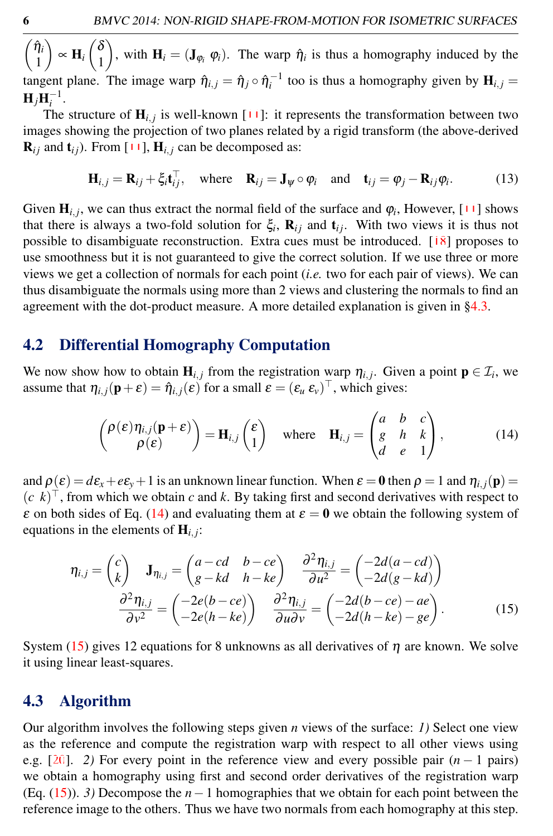$\int \hat{\eta}_i$ 1  $\bigg\} \propto \mathbf{H}_i \begin{pmatrix} \delta \\ 1 \end{pmatrix}$ 1 ), with  $H_i = (J_{\varphi_i}, \varphi_i)$ . The warp  $\hat{\eta}_i$  is thus a homography induced by the tangent plane. The image warp  $\hat{\eta}_{i,j} = \hat{\eta}_j \circ \hat{\eta}_i^{-1}$  too is thus a homography given by  $H_{i,j} =$  $H_jH_i^{-1}$ .

The structure of  $\mathbf{H}_{i,j}$  is well-known  $[11]$ : it represents the transformation between two images showing the projection of two planes related by a rigid transform (the above-derived  $\mathbf{R}_{ij}$  and  $\mathbf{t}_{ij}$ ). From [11],  $\mathbf{H}_{i,j}$  can be decomposed as:

$$
\mathbf{H}_{i,j} = \mathbf{R}_{ij} + \xi_i \mathbf{t}_{ij}^{\top}, \text{ where } \mathbf{R}_{ij} = \mathbf{J}_{\psi} \circ \varphi_i \text{ and } \mathbf{t}_{ij} = \varphi_j - \mathbf{R}_{ij} \varphi_i. \tag{13}
$$

Given  $\mathbf{H}_{i,j}$ , we can thus extract the normal field of the surface and  $\varphi_i$ , However, [11] shows that there is always a two-fold solution for  $\xi_i$ ,  $\mathbf{R}_{ij}$  and  $\mathbf{t}_{ij}$ . With two views it is thus not possible to disambiguate reconstruction. Extra cues must be introduced. [18] proposes to use smoothness but it is not guaranteed to give the correct solution. If we use three or more views we get a collection of normals for each point (*i.e.* two for each pair of views). We can thus disambiguate the normals using more than 2 views and clustering the normals to find an agreement with the dot-product measure. A more detailed explanation is given in [§4.3.](#page-5-0)

#### 4.2 Differential Homography Computation

We now show how to obtain  $\mathbf{H}_{i,j}$  from the registration warp  $\eta_{i,j}$ . Given a point  $\mathbf{p} \in \mathcal{I}_i$ , we assume that  $\eta_{i,j}(\mathbf{p}+\varepsilon) = \hat{\eta}_{i,j}(\varepsilon)$  for a small  $\varepsilon = (\varepsilon_u \varepsilon_v)^\top$ , which gives:

<span id="page-5-1"></span>
$$
\begin{pmatrix} \rho(\varepsilon)\eta_{i,j}(\mathbf{p}+\varepsilon) \\ \rho(\varepsilon) \end{pmatrix} = \mathbf{H}_{i,j} \begin{pmatrix} \varepsilon \\ 1 \end{pmatrix} \quad \text{where} \quad \mathbf{H}_{i,j} = \begin{pmatrix} a & b & c \\ g & h & k \\ d & e & 1 \end{pmatrix}, \tag{14}
$$

and  $\rho(\varepsilon) = d\varepsilon_x + \varepsilon \varepsilon_y + 1$  is an unknown linear function. When  $\varepsilon = 0$  then  $\rho = 1$  and  $\eta_{i,j}(\mathbf{p}) =$  $(c \; k)^{\top}$ , from which we obtain *c* and *k*. By taking first and second derivatives with respect to  $\varepsilon$  on both sides of Eq. [\(14\)](#page-5-1) and evaluating them at  $\varepsilon = 0$  we obtain the following system of equations in the elements of  $H_{i,j}$ :

<span id="page-5-2"></span>
$$
\eta_{i,j} = \begin{pmatrix} c \\ k \end{pmatrix} \mathbf{J}_{\eta_{i,j}} = \begin{pmatrix} a - cd & b - ce \\ g - kd & h - ke \end{pmatrix} \frac{\partial^2 \eta_{i,j}}{\partial u^2} = \begin{pmatrix} -2d(a - cd) \\ -2d(g - kd) \end{pmatrix}
$$

$$
\frac{\partial^2 \eta_{i,j}}{\partial v^2} = \begin{pmatrix} -2e(b - ce) \\ -2e(h - ke) \end{pmatrix} \frac{\partial^2 \eta_{i,j}}{\partial u \partial v} = \begin{pmatrix} -2d(b - ce) - ae \\ -2d(h - ke) - ge \end{pmatrix}.
$$
(15)

System [\(15\)](#page-5-2) gives 12 equations for 8 unknowns as all derivatives of  $\eta$  are known. We solve it using linear least-squares.

## <span id="page-5-0"></span>4.3 Algorithm

Our algorithm involves the following steps given *n* views of the surface: *1)* Select one view as the reference and compute the registration warp with respect to all other views using e.g. [20]. *2)* For every point in the reference view and every possible pair (*n* − 1 pairs) we obtain a homography using first and second order derivatives of the registration warp (Eq. [\(15\)](#page-5-2)). *3)* Decompose the *n*−1 homographies that we obtain for each point between the reference image to the others. Thus we have two normals from each homography at this step.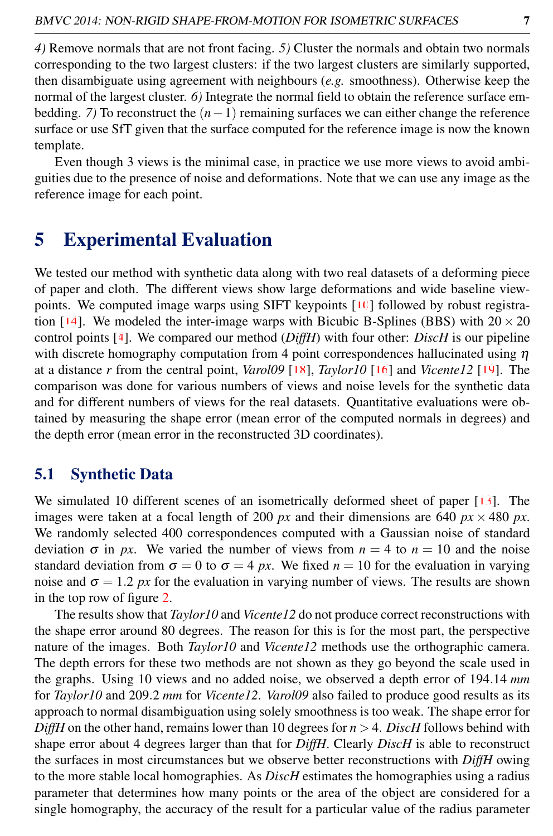*4)* Remove normals that are not front facing. *5)* Cluster the normals and obtain two normals corresponding to the two largest clusters: if the two largest clusters are similarly supported, then disambiguate using agreement with neighbours (*e.g.* smoothness). Otherwise keep the normal of the largest cluster. *6)* Integrate the normal field to obtain the reference surface embedding. *7*) To reconstruct the  $(n-1)$  remaining surfaces we can either change the reference surface or use SfT given that the surface computed for the reference image is now the known template.

Even though 3 views is the minimal case, in practice we use more views to avoid ambiguities due to the presence of noise and deformations. Note that we can use any image as the reference image for each point.

## 5 Experimental Evaluation

We tested our method with synthetic data along with two real datasets of a deforming piece of paper and cloth. The different views show large deformations and wide baseline viewpoints. We computed image warps using SIFT keypoints  $[10]$  followed by robust registration [14]. We modeled the inter-image warps with Bicubic B-Splines (BBS) with  $20 \times 20$ control points [4]. We compared our method (*DiffH*) with four other: *DiscH* is our pipeline with discrete homography computation from 4 point correspondences hallucinated using  $\eta$ at a distance *r* from the central point, *Varol09* [18], *Taylor10* [16] and *Vicente12* [19]. The comparison was done for various numbers of views and noise levels for the synthetic data and for different numbers of views for the real datasets. Quantitative evaluations were obtained by measuring the shape error (mean error of the computed normals in degrees) and the depth error (mean error in the reconstructed 3D coordinates).

## 5.1 Synthetic Data

We simulated 10 different scenes of an isometrically deformed sheet of paper [13]. The images were taken at a focal length of 200 *px* and their dimensions are 640 *px*  $\times$  480 *px*. We randomly selected 400 correspondences computed with a Gaussian noise of standard deviation  $\sigma$  in *px*. We varied the number of views from  $n = 4$  to  $n = 10$  and the noise standard deviation from  $\sigma = 0$  to  $\sigma = 4$  *px*. We fixed *n* = 10 for the evaluation in varying noise and  $\sigma = 1.2 \, \mu x$  for the evaluation in varying number of views. The results are shown in the top row of figure 2.

The results show that *Taylor10* and *Vicente12* do not produce correct reconstructions with the shape error around 80 degrees. The reason for this is for the most part, the perspective nature of the images. Both *Taylor10* and *Vicente12* methods use the orthographic camera. The depth errors for these two methods are not shown as they go beyond the scale used in the graphs. Using 10 views and no added noise, we observed a depth error of 194.14 *mm* for *Taylor10* and 209.2 *mm* for *Vicente12*. *Varol09* also failed to produce good results as its approach to normal disambiguation using solely smoothness is too weak. The shape error for *DiffH* on the other hand, remains lower than 10 degrees for  $n > 4$ . *DiscH* follows behind with shape error about 4 degrees larger than that for *DiffH*. Clearly *DiscH* is able to reconstruct the surfaces in most circumstances but we observe better reconstructions with *DiffH* owing to the more stable local homographies. As *DiscH* estimates the homographies using a radius parameter that determines how many points or the area of the object are considered for a single homography, the accuracy of the result for a particular value of the radius parameter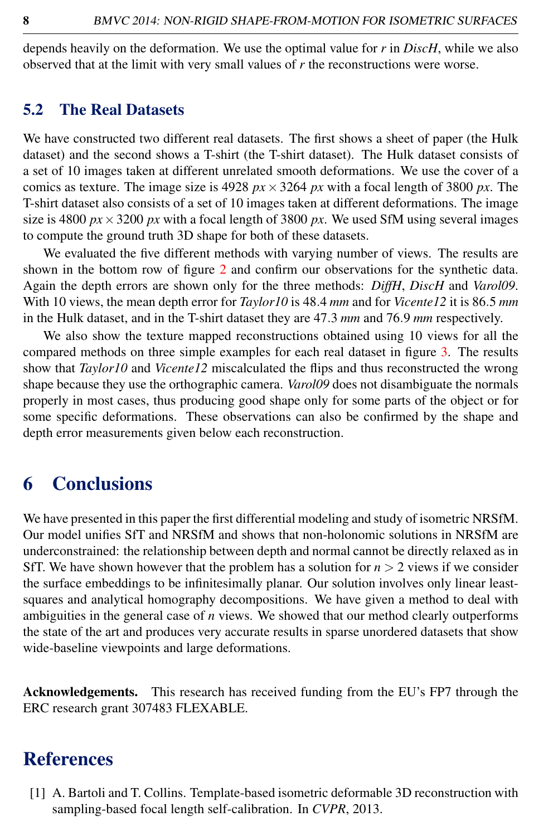depends heavily on the deformation. We use the optimal value for *r* in *DiscH*, while we also observed that at the limit with very small values of *r* the reconstructions were worse.

### 5.2 The Real Datasets

We have constructed two different real datasets. The first shows a sheet of paper (the Hulk dataset) and the second shows a T-shirt (the T-shirt dataset). The Hulk dataset consists of a set of 10 images taken at different unrelated smooth deformations. We use the cover of a comics as texture. The image size is  $4928 px \times 3264 px$  with a focal length of 3800 px. The T-shirt dataset also consists of a set of 10 images taken at different deformations. The image size is 4800  $px \times 3200 px$  with a focal length of 3800  $px$ . We used SfM using several images to compute the ground truth 3D shape for both of these datasets.

We evaluated the five different methods with varying number of views. The results are shown in the bottom row of figure 2 and confirm our observations for the synthetic data. Again the depth errors are shown only for the three methods: *DiffH*, *DiscH* and *Varol09*. With 10 views, the mean depth error for *Taylor10* is 48.4 *mm* and for *Vicente12* it is 86.5 *mm* in the Hulk dataset, and in the T-shirt dataset they are 47.3 *mm* and 76.9 *mm* respectively.

We also show the texture mapped reconstructions obtained using 10 views for all the compared methods on three simple examples for each real dataset in figure 3. The results show that *Taylor10* and *Vicente12* miscalculated the flips and thus reconstructed the wrong shape because they use the orthographic camera. *Varol09* does not disambiguate the normals properly in most cases, thus producing good shape only for some parts of the object or for some specific deformations. These observations can also be confirmed by the shape and depth error measurements given below each reconstruction.

## 6 Conclusions

We have presented in this paper the first differential modeling and study of isometric NRSfM. Our model unifies SfT and NRSfM and shows that non-holonomic solutions in NRSfM are underconstrained: the relationship between depth and normal cannot be directly relaxed as in SfT. We have shown however that the problem has a solution for  $n > 2$  views if we consider the surface embeddings to be infinitesimally planar. Our solution involves only linear leastsquares and analytical homography decompositions. We have given a method to deal with ambiguities in the general case of *n* views. We showed that our method clearly outperforms the state of the art and produces very accurate results in sparse unordered datasets that show wide-baseline viewpoints and large deformations.

Acknowledgements. This research has received funding from the EU's FP7 through the ERC research grant 307483 FLEXABLE.

## References

[1] A. Bartoli and T. Collins. Template-based isometric deformable 3D reconstruction with sampling-based focal length self-calibration. In *CVPR*, 2013.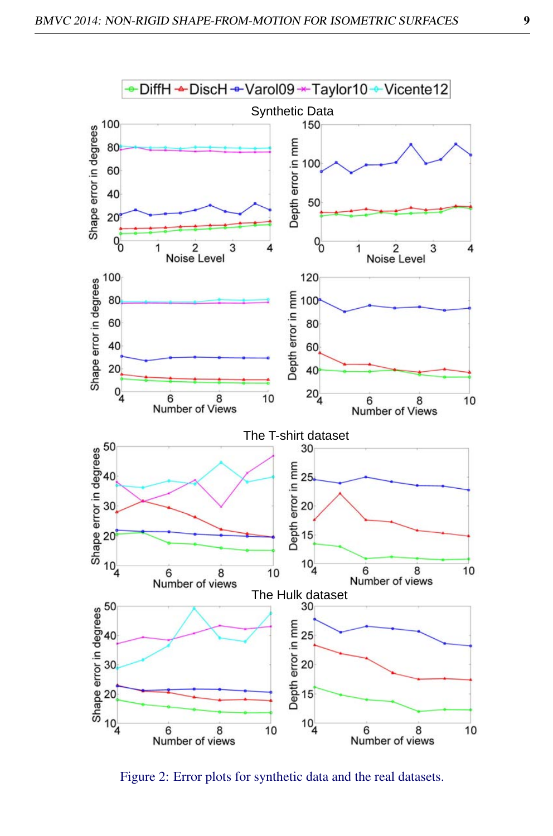

Figure 2: Error plots for synthetic data and the real datasets.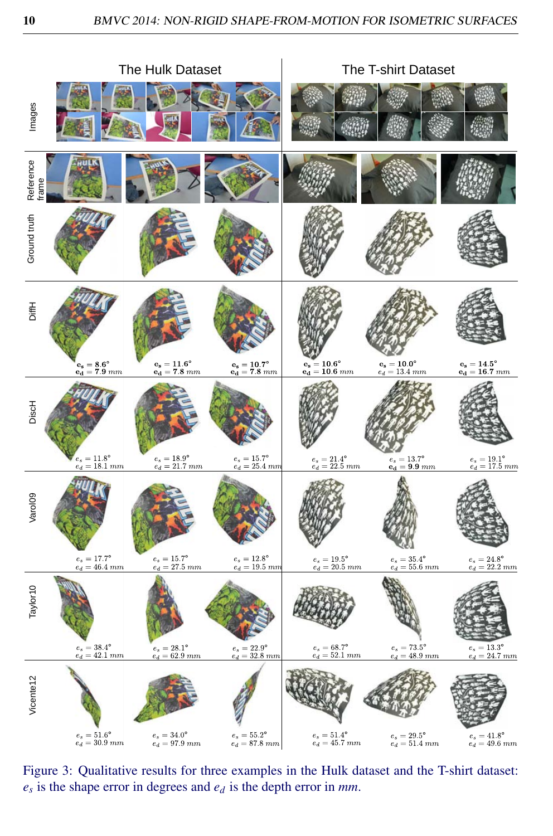

Figure 3: Qualitative results for three examples in the Hulk dataset and the T-shirt dataset:  $e_s$  is the shape error in degrees and  $e_d$  is the depth error in mm.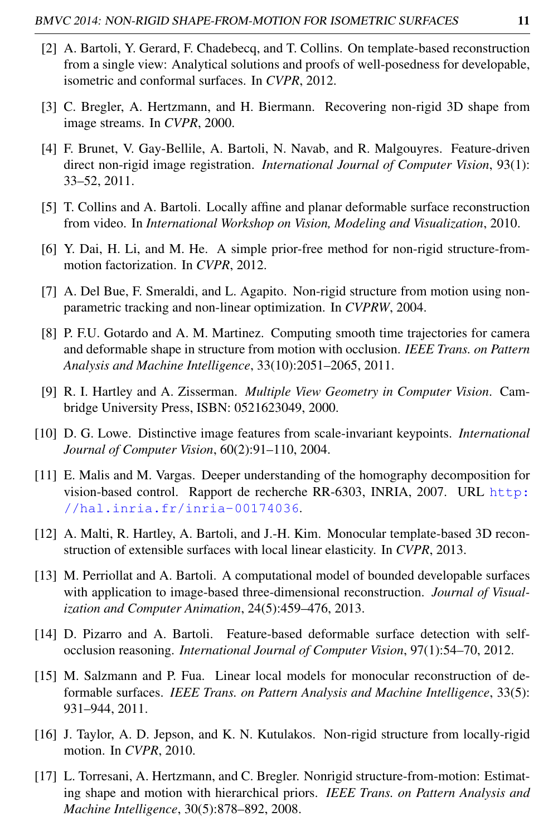- [2] A. Bartoli, Y. Gerard, F. Chadebecq, and T. Collins. On template-based reconstruction from a single view: Analytical solutions and proofs of well-posedness for developable, isometric and conformal surfaces. In *CVPR*, 2012.
- [3] C. Bregler, A. Hertzmann, and H. Biermann. Recovering non-rigid 3D shape from image streams. In *CVPR*, 2000.
- [4] F. Brunet, V. Gay-Bellile, A. Bartoli, N. Navab, and R. Malgouyres. Feature-driven direct non-rigid image registration. *International Journal of Computer Vision*, 93(1): 33–52, 2011.
- [5] T. Collins and A. Bartoli. Locally affine and planar deformable surface reconstruction from video. In *International Workshop on Vision, Modeling and Visualization*, 2010.
- [6] Y. Dai, H. Li, and M. He. A simple prior-free method for non-rigid structure-frommotion factorization. In *CVPR*, 2012.
- [7] A. Del Bue, F. Smeraldi, and L. Agapito. Non-rigid structure from motion using nonparametric tracking and non-linear optimization. In *CVPRW*, 2004.
- [8] P. F.U. Gotardo and A. M. Martinez. Computing smooth time trajectories for camera and deformable shape in structure from motion with occlusion. *IEEE Trans. on Pattern Analysis and Machine Intelligence*, 33(10):2051–2065, 2011.
- [9] R. I. Hartley and A. Zisserman. *Multiple View Geometry in Computer Vision*. Cambridge University Press, ISBN: 0521623049, 2000.
- [10] D. G. Lowe. Distinctive image features from scale-invariant keypoints. *International Journal of Computer Vision*, 60(2):91–110, 2004.
- [11] E. Malis and M. Vargas. Deeper understanding of the homography decomposition for vision-based control. Rapport de recherche RR-6303, INRIA, 2007. URL [http:](http://hal.inria.fr/inria-00174036) [//hal.inria.fr/inria-00174036](http://hal.inria.fr/inria-00174036).
- [12] A. Malti, R. Hartley, A. Bartoli, and J.-H. Kim. Monocular template-based 3D reconstruction of extensible surfaces with local linear elasticity. In *CVPR*, 2013.
- [13] M. Perriollat and A. Bartoli. A computational model of bounded developable surfaces with application to image-based three-dimensional reconstruction. *Journal of Visualization and Computer Animation*, 24(5):459–476, 2013.
- [14] D. Pizarro and A. Bartoli. Feature-based deformable surface detection with selfocclusion reasoning. *International Journal of Computer Vision*, 97(1):54–70, 2012.
- [15] M. Salzmann and P. Fua. Linear local models for monocular reconstruction of deformable surfaces. *IEEE Trans. on Pattern Analysis and Machine Intelligence*, 33(5): 931–944, 2011.
- [16] J. Taylor, A. D. Jepson, and K. N. Kutulakos. Non-rigid structure from locally-rigid motion. In *CVPR*, 2010.
- [17] L. Torresani, A. Hertzmann, and C. Bregler. Nonrigid structure-from-motion: Estimating shape and motion with hierarchical priors. *IEEE Trans. on Pattern Analysis and Machine Intelligence*, 30(5):878–892, 2008.